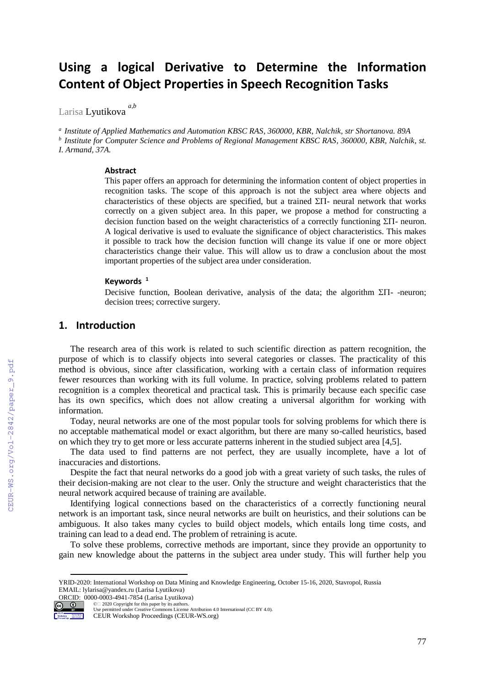# **Using a logical Derivative to Determine the Information Content of Object Properties in Speech Recognition Tasks**

Larisa Lyutikova *a,b*

*a Institute of Applied Mathematics and Automation KBSC RAS, 360000, KBR, Nalchik, str Shortanova. 89A b Institute for Computer Science and Problems of Regional Management KBSC RAS, 360000, KBR, Nalchik, st. I. Armand, 37A.*

#### **Abstract**

This paper offers an approach for determining the information content of object properties in recognition tasks. The scope of this approach is not the subject area where objects and characteristics of these objects are specified, but a trained  $\Sigma\Pi$ - neural network that works correctly on a given subject area. In this paper, we propose a method for constructing a decision function based on the weight characteristics of a correctly functioning  $\Sigma\Pi$ - neuron. A logical derivative is used to evaluate the significance of object characteristics. This makes it possible to track how the decision function will change its value if one or more object characteristics change their value. This will allow us to draw a conclusion about the most important properties of the subject area under consideration.

#### **Keywords <sup>1</sup>**

Decisive function, Boolean derivative, analysis of the data; the algorithm  $\Sigma\Pi$ -neuron; decision trees; corrective surgery.

## **1. Introduction**

The research area of this work is related to such scientific direction as pattern recognition, the purpose of which is to classify objects into several categories or classes. The practicality of this method is obvious, since after classification, working with a certain class of information requires fewer resources than working with its full volume. In practice, solving problems related to pattern recognition is a complex theoretical and practical task. This is primarily because each specific case has its own specifics, which does not allow creating a universal algorithm for working with information.

Today, neural networks are one of the most popular tools for solving problems for which there is no acceptable mathematical model or exact algorithm, but there are many so-called heuristics, based on which they try to get more or less accurate patterns inherent in the studied subject area [4,5].

The data used to find patterns are not perfect, they are usually incomplete, have a lot of inaccuracies and distortions.

Despite the fact that neural networks do a good job with a great variety of such tasks, the rules of their decision-making are not clear to the user. Only the structure and weight characteristics that the neural network acquired because of training are available.

Identifying logical connections based on the characteristics of a correctly functioning neural network is an important task, since neural networks are built on heuristics, and their solutions can be ambiguous. It also takes many cycles to build object models, which entails long time costs, and training can lead to a dead end. The problem of retraining is acute.

To solve these problems, corrective methods are important, since they provide an opportunity to gain new knowledge about the patterns in the subject area under study. This will further help you

ORCID: 0000-0003-4941-7854 (Larisa Lyutikova) ©️ 2020 Copyright for this paper by its authors.



Use permitted under Creative Commons License Attribution 4.0 International (CC BY 4.0).

YRID-2020: International Workshop on Data Mining and Knowledge Engineering, October 15-16, 2020, Stavropol, Russia EMAIL: lylarisa@yandex.ru (Larisa Lyutikova)

CEUR Workshop Proceedings (CEUR-WS.org)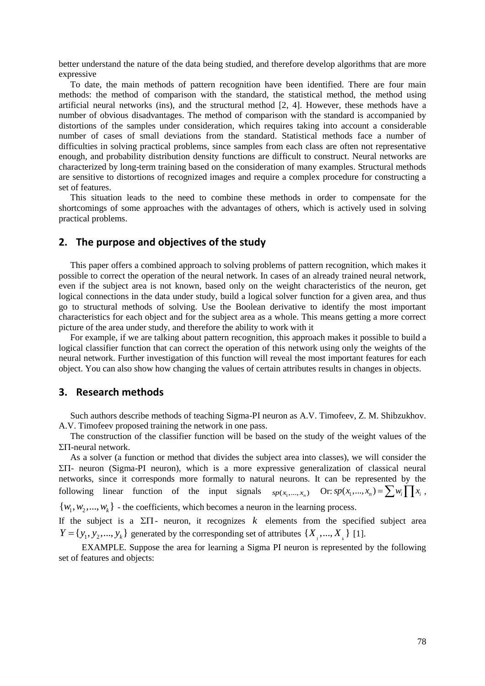better understand the nature of the data being studied, and therefore develop algorithms that are more expressive

To date, the main methods of pattern recognition have been identified. There are four main methods: the method of comparison with the standard, the statistical method, the method using artificial neural networks (ins), and the structural method [2, 4]. However, these methods have a number of obvious disadvantages. The method of comparison with the standard is accompanied by distortions of the samples under consideration, which requires taking into account a considerable number of cases of small deviations from the standard. Statistical methods face a number of difficulties in solving practical problems, since samples from each class are often not representative enough, and probability distribution density functions are difficult to construct. Neural networks are characterized by long-term training based on the consideration of many examples. Structural methods are sensitive to distortions of recognized images and require a complex procedure for constructing a set of features.

This situation leads to the need to combine these methods in order to compensate for the shortcomings of some approaches with the advantages of others, which is actively used in solving practical problems.

## **2. The purpose and objectives of the study**

This paper offers a combined approach to solving problems of pattern recognition, which makes it possible to correct the operation of the neural network. In cases of an already trained neural network, even if the subject area is not known, based only on the weight characteristics of the neuron, get logical connections in the data under study, build a logical solver function for a given area, and thus go to structural methods of solving. Use the Boolean derivative to identify the most important characteristics for each object and for the subject area as a whole. This means getting a more correct picture of the area under study, and therefore the ability to work with it

For example, if we are talking about pattern recognition, this approach makes it possible to build a logical classifier function that can correct the operation of this network using only the weights of the neural network. Further investigation of this function will reveal the most important features for each object. You can also show how changing the values of certain attributes results in changes in objects.

#### **3. Research methods**

Such authors describe methods of teaching Sigma-PI neuron as A.V. Timofeev, Z. M. Shibzukhov. A.V. Timofeev proposed training the network in one pass.

The construction of the classifier function will be based on the study of the weight values of the  $\Sigma\Pi$ -neural network.

As a solver (a function or method that divides the subject area into classes), we will consider the  $\Sigma$ II- neuron (Sigma-PI neuron), which is a more expressive generalization of classical neural networks, since it corresponds more formally to natural neurons. It can be represented by the following linear function of the input signals  $sp(x_1,...,x_n)$  Or:  $sp(x_1,...,x_n) = \sum w_i \prod_{i=1}^{n} x_i$ ,  $\{w_1, w_2, \ldots, w_k\}$  - the coefficients, which becomes a neuron in the learning process.

If the subject is a  $\Sigma\Pi$ - neuron, it recognizes k elements from the specified subject area  $Y = \{y_1, y_2, \dots, y_k\}$  generated by the corresponding set of attributes  $\{X_1, \dots, X_k\}$  [1].

EXAMPLE. Suppose the area for learning a Sigma PI neuron is represented by the following set of features and objects: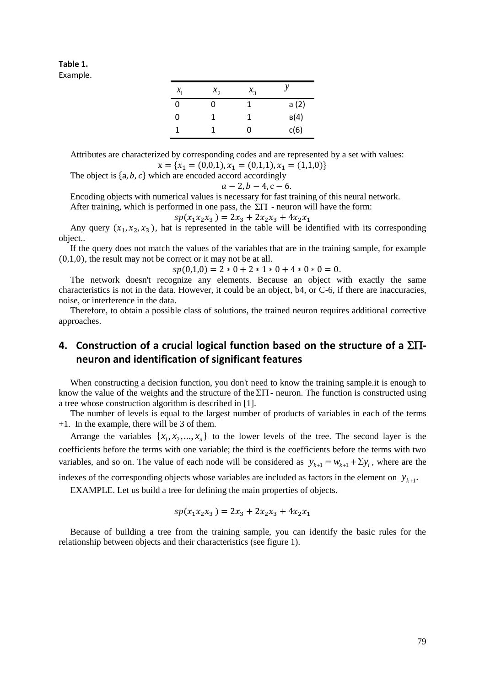## **Table 1.**

Example.

| $\mathcal{X}_1$ | $x_{2}$ | $x_{3}$ |      |
|-----------------|---------|---------|------|
| O               | 0       | 1       | a(2) |
| 0               | 1       | 1       | B(4) |
| 1               | 1       | O       | c(6) |

Attributes are characterized by corresponding codes and are represented by a set with values:  $x = \{x_1 = (0,0,1), x_1 = (0,1,1), x_1 = (1,1,0)\}\$ 

The object is  $\{a, b, c\}$  which are encoded accord accordingly

$$
a-2, b-4, c-6.
$$

Encoding objects with numerical values is necessary for fast training of this neural network.

After training, which is performed in one pass, the  $\Sigma\Pi$  - neuron will have the form:

$$
sp(x_1x_2x_3) = 2x_3 + 2x_2x_3 + 4x_2x_1
$$

Any query  $(x_1, x_2, x_3)$ , hat is represented in the table will be identified with its corresponding object..

If the query does not match the values of the variables that are in the training sample, for example (0,1,0), the result may not be correct or it may not be at all.

 $sp(0,1,0) = 2 * 0 + 2 * 1 * 0 + 4 * 0 * 0 = 0.$ 

The network doesn't recognize any elements. Because an object with exactly the same characteristics is not in the data. However, it could be an object, b4, or C-6, if there are inaccuracies, noise, or interference in the data.

Therefore, to obtain a possible class of solutions, the trained neuron requires additional corrective approaches.

# **4.** Construction of a crucial logical function based on the structure of a  $\Sigma\Pi$ **neuron and identification of significant features**

When constructing a decision function, you don't need to know the training sample.it is enough to know the value of the weights and the structure of the  $\Sigma\Pi$  - neuron. The function is constructed using a tree whose construction algorithm is described in [1].

The number of levels is equal to the largest number of products of variables in each of the terms +1. In the example, there will be 3 of them.

Arrange the variables  $\{x_1, x_2, ..., x_n\}$  to the lower levels of the tree. The second layer is the coefficients before the terms with one variable; the third is the coefficients before the terms with two variables, and so on. The value of each node will be considered as  $y_{k+1} = w_{k+1} + \sum y_i$ , where are the

indexes of the corresponding objects whose variables are included as factors in the element on  $y_{k+1}$ .

EXAMPLE. Let us build a tree for defining the main properties of objects.

$$
sp(x_1x_2x_3) = 2x_3 + 2x_2x_3 + 4x_2x_1
$$

Because of building a tree from the training sample, you can identify the basic rules for the relationship between objects and their characteristics (see figure 1).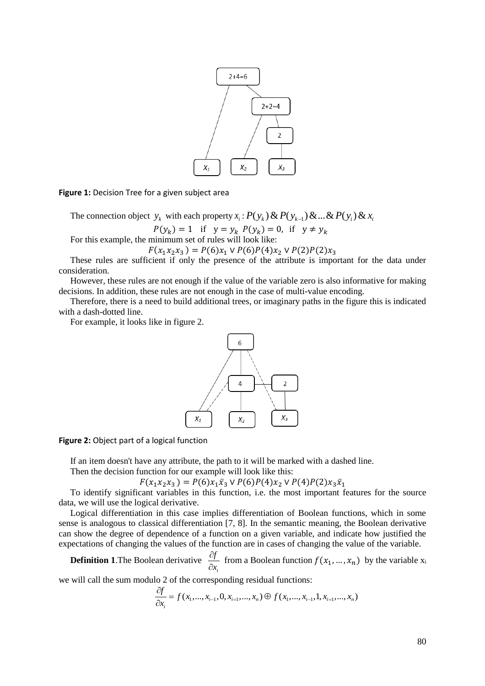

**Figure 1:** Decision Tree for a given subject area

The connection object  $y_k$  with each property  $x_i$ :  $P(y_k)$  &  $P(y_{k-1})$  & ... &  $P(y_i)$  &  $x_i$ 

 $P(y_k) = 1$  if  $y = y_k P(y_k) = 0$ , if  $y \neq y_k$ For this example, the minimum set of rules will look like:

 $F(x_1x_2x_3) = P(6)x_1 \vee P(6)P(4)x_2 \vee P(2)P(2)x_3$ 

These rules are sufficient if only the presence of the attribute is important for the data under consideration.

However, these rules are not enough if the value of the variable zero is also informative for making decisions. In addition, these rules are not enough in the case of multi-value encoding.

Therefore, there is a need to build additional trees, or imaginary paths in the figure this is indicated with a dash-dotted line.

For example, it looks like in figure 2.



**Figure 2:** Object part of a logical function

If an item doesn't have any attribute, the path to it will be marked with a dashed line.

Then the decision function for our example will look like this:

 $F(x_1x_2x_3) = P(6)x_1\bar{x}_3 \vee P(6)P(4)x_2 \vee P(4)P(2)x_3\bar{x}_1$ 

To identify significant variables in this function, i.e. the most important features for the source data, we will use the logical derivative.

Logical differentiation in this case implies differentiation of Boolean functions, which in some sense is analogous to classical differentiation [7, 8]. In the semantic meaning, the Boolean derivative can show the degree of dependence of a function on a given variable, and indicate how justified the expectations of changing the values of the function are in cases of changing the value of the variable.

**Definition 1**.The Boolean derivative *i f x*  $\partial$  $\frac{\partial y}{\partial x_i}$  from a Boolean function  $f(x_1, ..., x_n)$  by the variable  $x_i$ 

we will call the sum modulo 2 of the corresponding residual functions:  
\n
$$
\frac{\partial f}{\partial x_i} = f(x_1, ..., x_{i-1}, 0, x_{i=1}, ..., x_n) \oplus f(x_1, ..., x_{i-1}, 1, x_{i=1}, ..., x_n)
$$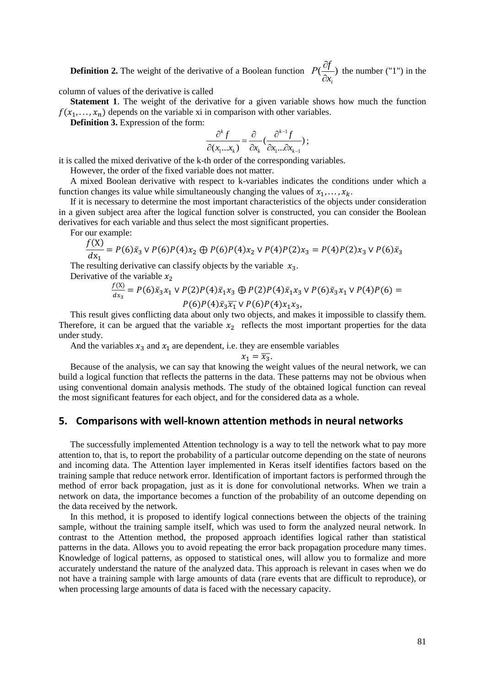**Definition 2.** The weight of the derivative of a Boolean function  $P(\frac{g}{2})$ *i*  $P(\frac{\partial f}{\partial r})$ *x*  $\partial$  $\partial$ the number ("1") in the

column of values of the derivative is called

**Statement 1**. The weight of the derivative for a given variable shows how much the function  $f(x_1, \ldots, x_n)$  depends on the variable xi in comparison with other variables.

**Definition 3.** Expression of the form:

$$
\frac{\partial^k f}{\partial(x_1...x_k)} = \frac{\partial}{\partial x_k} \left( \frac{\partial^{k-1} f}{\partial x_1 ... \partial x_{k-1}} \right);
$$

it is called the mixed derivative of the k-th order of the corresponding variables.

However, the order of the fixed variable does not matter.

A mixed Boolean derivative with respect to k-variables indicates the conditions under which a function changes its value while simultaneously changing the values of  $x_1, \ldots, x_k$ .

If it is necessary to determine the most important characteristics of the objects under consideration in a given subject area after the logical function solver is constructed, you can consider the Boolean derivatives for each variable and thus select the most significant properties.

For our example:  $f(y)$ 

$$
\frac{f(x)}{dx_1} = P(6)\bar{x}_3 \vee P(6)P(4)x_2 \oplus P(6)P(4)x_2 \vee P(4)P(2)x_3 = P(4)P(2)x_3 \vee P(6)\bar{x}_3
$$

The resulting derivative can classify objects by the variable  $x_3$ .

Derivative of the variable  $x_2$ 

$$
\frac{f(X)}{dx_3} = P(6)\bar{x}_3x_1 \vee P(2)P(4)\bar{x}_1x_3 \oplus P(2)P(4)\bar{x}_1x_3 \vee P(6)\bar{x}_3x_1 \vee P(4)P(6) = P(6)P(4)\bar{x}_3\bar{x}_1 \vee P(6)P(4)x_1x_3,
$$

This result gives conflicting data about only two objects, and makes it impossible to classify them. Therefore, it can be argued that the variable  $x<sub>2</sub>$  reflects the most important properties for the data under study.

And the variables  $x_3$  and  $x_1$  are dependent, i.e. they are ensemble variables

$$
x_1 = \overline{x_3}.
$$

Because of the analysis, we can say that knowing the weight values of the neural network, we can build a logical function that reflects the patterns in the data. These patterns may not be obvious when using conventional domain analysis methods. The study of the obtained logical function can reveal the most significant features for each object, and for the considered data as a whole.

#### **5. Comparisons with well-known attention methods in neural networks**

The successfully implemented Attention technology is a way to tell the network what to pay more attention to, that is, to report the probability of a particular outcome depending on the state of neurons and incoming data. The Attention layer implemented in Keras itself identifies factors based on the training sample that reduce network error. Identification of important factors is performed through the method of error back propagation, just as it is done for convolutional networks. When we train a network on data, the importance becomes a function of the probability of an outcome depending on the data received by the network.

In this method, it is proposed to identify logical connections between the objects of the training sample, without the training sample itself, which was used to form the analyzed neural network. In contrast to the Attention method, the proposed approach identifies logical rather than statistical patterns in the data. Allows you to avoid repeating the error back propagation procedure many times. Knowledge of logical patterns, as opposed to statistical ones, will allow you to formalize and more accurately understand the nature of the analyzed data. This approach is relevant in cases when we do not have a training sample with large amounts of data (rare events that are difficult to reproduce), or when processing large amounts of data is faced with the necessary capacity.